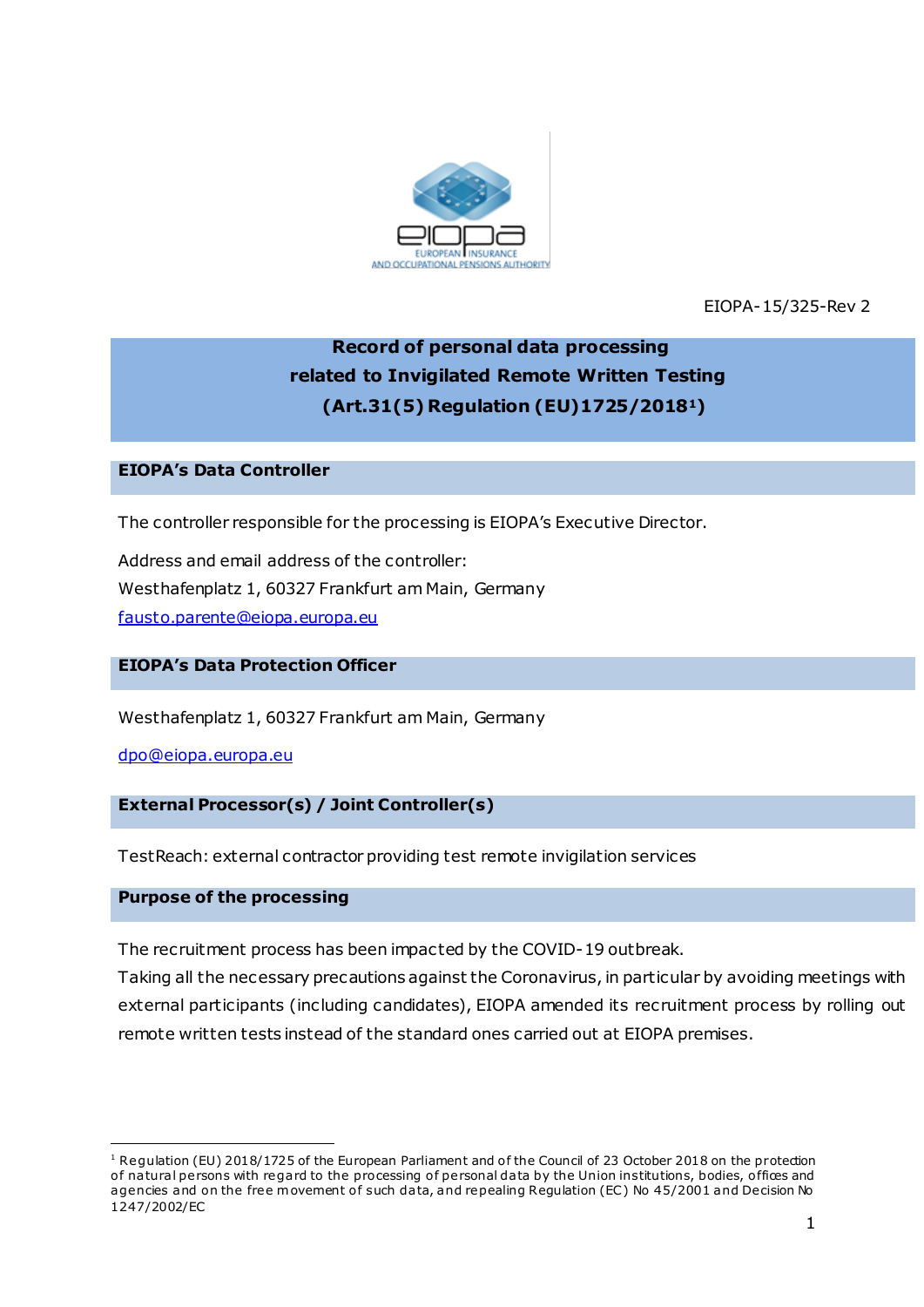

EIOPA-15/325-Rev 2

# **Record of personal data processing related to Invigilated Remote Written Testing (Art.31(5) Regulation (EU)1725/20181)**

# **EIOPA's Data Controller**

The controller responsible for the processing is EIOPA's Executive Director.

Address and email address of the controller: Westhafenplatz 1, 60327 Frankfurt am Main, Germany [fausto.parente@eiopa.europa.eu](mailto:fausto.parente@eiopa.europa.eu)

#### **EIOPA's Data Protection Officer**

Westhafenplatz 1, 60327 Frankfurt am Main, Germany

[dpo@eiopa.europa.eu](mailto:dpo@eiopa.europa.eu)

#### **External Processor(s) / Joint Controller(s)**

TestReach: external contractor providing test remote invigilation services

### **Purpose of the processing**

.

The recruitment process has been impacted by the COVID-19 outbreak.

Taking all the necessary precautions against the Coronavirus, in particular by avoiding meetings with external participants (including candidates), EIOPA amended its recruitment process by rolling out remote written tests instead of the standard ones carried out at EIOPA premises.

<sup>&</sup>lt;sup>1</sup> Regulation (EU) 2018/1725 of the European Parliament and of the Council of 23 October 2018 on the protection of natural persons with regard to the processing of personal data by the Union institutions, bodies, offices and agencies and on the free movement of such data, and repealing Regulation (EC) No 45/2001 and Decision No 1247/2002/EC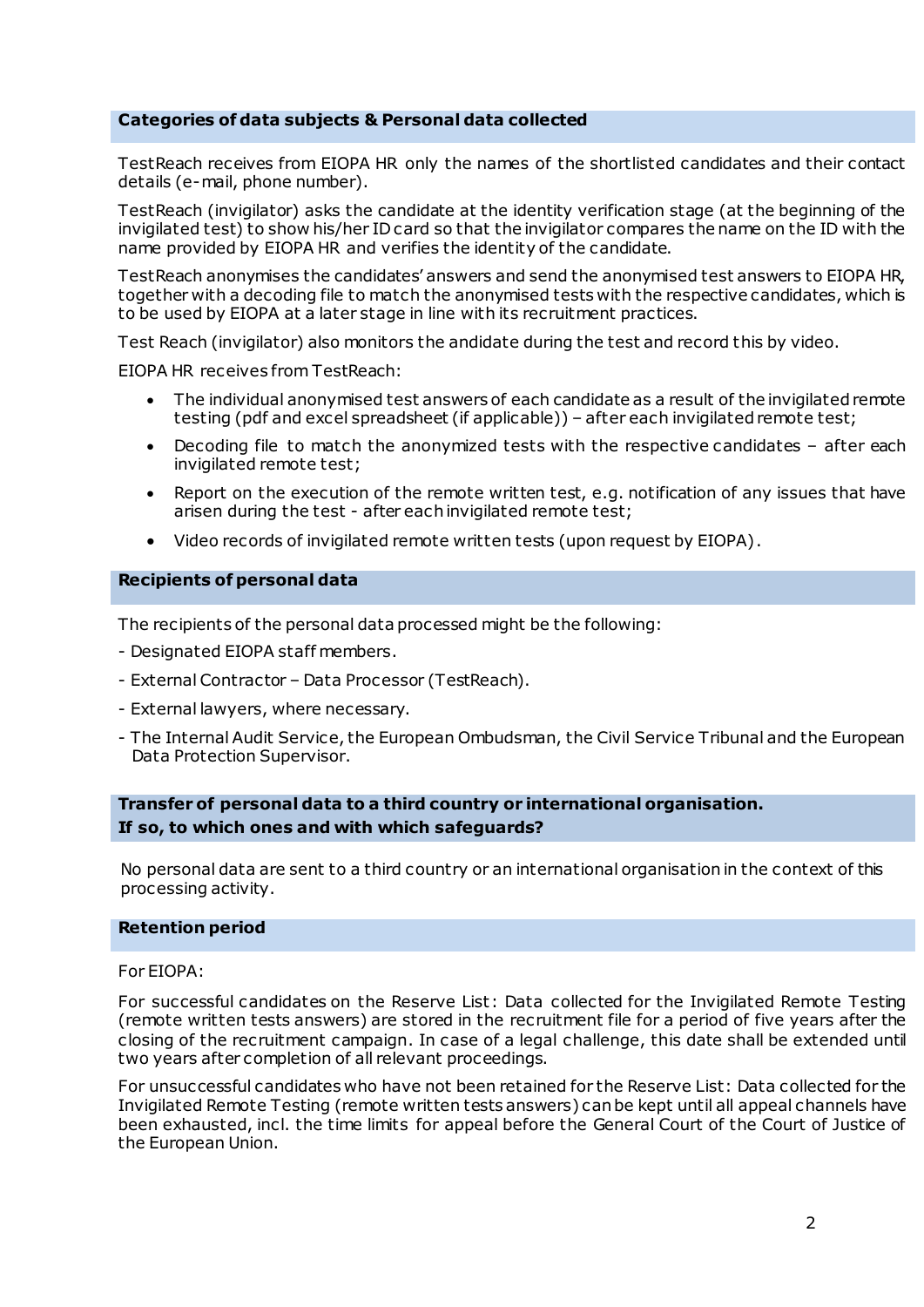#### **Categories of data subjects & Personal data collected**

TestReach receives from EIOPA HR only the names of the shortlisted candidates and their contact details (e-mail, phone number).

TestReach (invigilator) asks the candidate at the identity verification stage (at the beginning of the invigilated test) to show his/her ID card so that the invigilator compares the name on the ID with the name provided by EIOPA HR and verifies the identity of the candidate.

TestReach anonymises the candidates' answers and send the anonymised test answers to EIOPA HR, together with a decoding file to match the anonymised tests with the respective candidates, which is to be used by EIOPA at a later stage in line with its recruitment practices.

Test Reach (invigilator) also monitors the andidate during the test and record this by video.

EIOPA HR receives from TestReach:

- The individual anonymised test answers of each candidate as a result of the invigilated remote testing (pdf and excel spreadsheet (if applicable)) – after each invigilated remote test;
- Decoding file to match the anonymized tests with the respective candidates after each invigilated remote test;
- Report on the execution of the remote written test, e.g. notification of any issues that have arisen during the test - after each invigilated remote test;
- Video records of invigilated remote written tests (upon request by EIOPA).

#### **Recipients of personal data**

The recipients of the personal data processed might be the following:

- Designated EIOPA staff members.
- External Contractor Data Processor (TestReach).
- External lawyers, where necessary.
- The Internal Audit Service, the European Ombudsman, the Civil Service Tribunal and the European Data Protection Supervisor.

## **Transfer of personal data to a third country or international organisation. If so, to which ones and with which safeguards?**

No personal data are sent to a third country or an international organisation in the context of this processing activity.

#### **Retention period**

#### For EIOPA:

For successful candidates on the Reserve List: Data collected for the Invigilated Remote Testing (remote written tests answers) are stored in the recruitment file for a period of five years after the closing of the recruitment campaign. In case of a legal challenge, this date shall be extended until two years after completion of all relevant proceedings.

For unsuccessful candidates who have not been retained for the Reserve List: Data collected for the Invigilated Remote Testing (remote written tests answers) can be kept until all appeal channels have been exhausted, incl. the time limits for appeal before the General Court of the Court of Justice of the European Union.